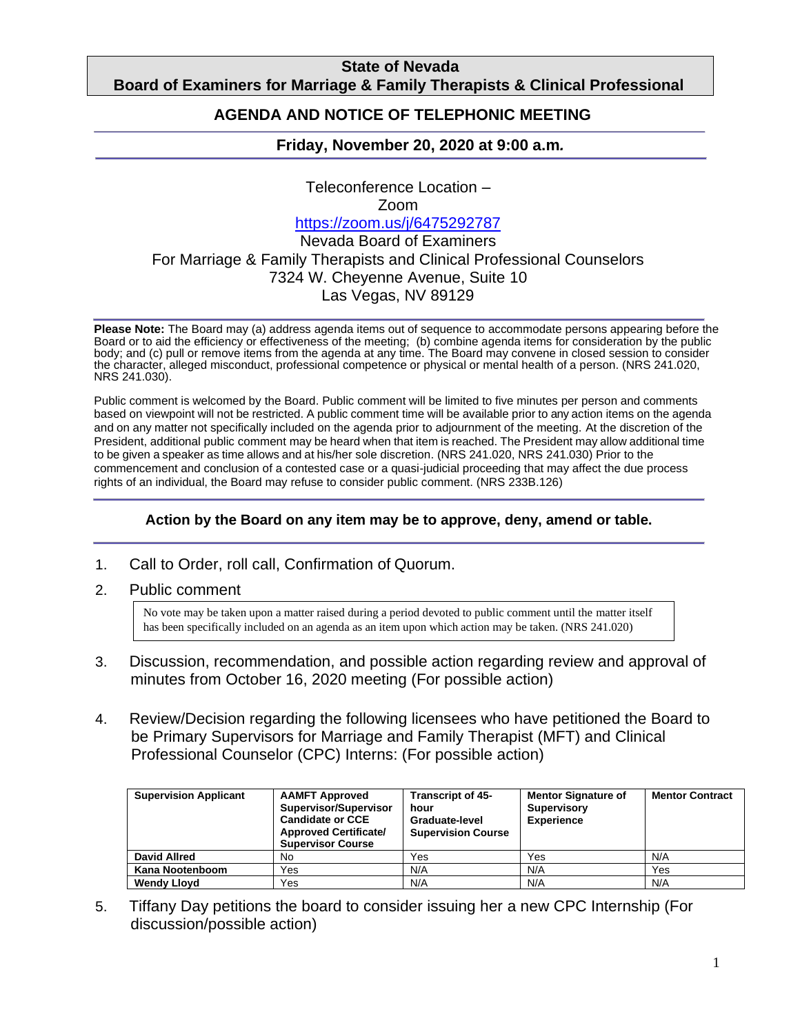## **State of Nevada Board of Examiners for Marriage & Family Therapists & Clinical Professional**

#### **Counting AGENDA AND NOTICE OF TELEPHONIC MEETING**

## **Friday, November 20, 2020 at 9:00 a.m***.*

Teleconference Location – Zoom <https://zoom.us/j/6475292787> Nevada Board of Examiners For Marriage & Family Therapists and Clinical Professional Counselors 7324 W. Cheyenne Avenue, Suite 10 Las Vegas, NV 89129

**Please Note:** The Board may (a) address agenda items out of sequence to accommodate persons appearing before the Board or to aid the efficiency or effectiveness of the meeting; (b) combine agenda items for consideration by the public body; and (c) pull or remove items from the agenda at any time. The Board may convene in closed session to consider the character, alleged misconduct, professional competence or physical or mental health of a person. (NRS 241.020, NRS 241.030).

Public comment is welcomed by the Board. Public comment will be limited to five minutes per person and comments based on viewpoint will not be restricted. A public comment time will be available prior to any action items on the agenda and on any matter not specifically included on the agenda prior to adjournment of the meeting. At the discretion of the President, additional public comment may be heard when that item is reached. The President may allow additional time to be given a speaker as time allows and at his/her sole discretion. (NRS 241.020, NRS 241.030) Prior to the commencement and conclusion of a contested case or a quasi-judicial proceeding that may affect the due process rights of an individual, the Board may refuse to consider public comment. (NRS 233B.126)

#### **Action by the Board on any item may be to approve, deny, amend or table.**

- 1. Call to Order, roll call, Confirmation of Quorum.
- 2. Public comment

No vote may be taken upon a matter raised during a period devoted to public comment until the matter itself has been specifically included on an agenda as an item upon which action may be taken. (NRS 241.020)

- 3. Discussion, recommendation, and possible action regarding review and approval of minutes from October 16, 2020 meeting (For possible action)
- 4. Review/Decision regarding the following licensees who have petitioned the Board to be Primary Supervisors for Marriage and Family Therapist (MFT) and Clinical Professional Counselor (CPC) Interns: (For possible action)

| <b>Supervision Applicant</b> | <b>AAMFT Approved</b><br>Supervisor/Supervisor<br><b>Candidate or CCE</b><br><b>Approved Certificate/</b><br><b>Supervisor Course</b> | <b>Transcript of 45-</b><br>hour<br>Graduate-level<br><b>Supervision Course</b> | <b>Mentor Signature of</b><br><b>Supervisory</b><br><b>Experience</b> | <b>Mentor Contract</b> |
|------------------------------|---------------------------------------------------------------------------------------------------------------------------------------|---------------------------------------------------------------------------------|-----------------------------------------------------------------------|------------------------|
| <b>David Allred</b>          | No                                                                                                                                    | Yes                                                                             | Yes                                                                   | N/A                    |
| Kana Nootenboom              | Yes                                                                                                                                   | N/A                                                                             | N/A                                                                   | Yes                    |
| <b>Wendy Lloyd</b>           | Yes                                                                                                                                   | N/A                                                                             | N/A                                                                   | N/A                    |

5. Tiffany Day petitions the board to consider issuing her a new CPC Internship (For discussion/possible action)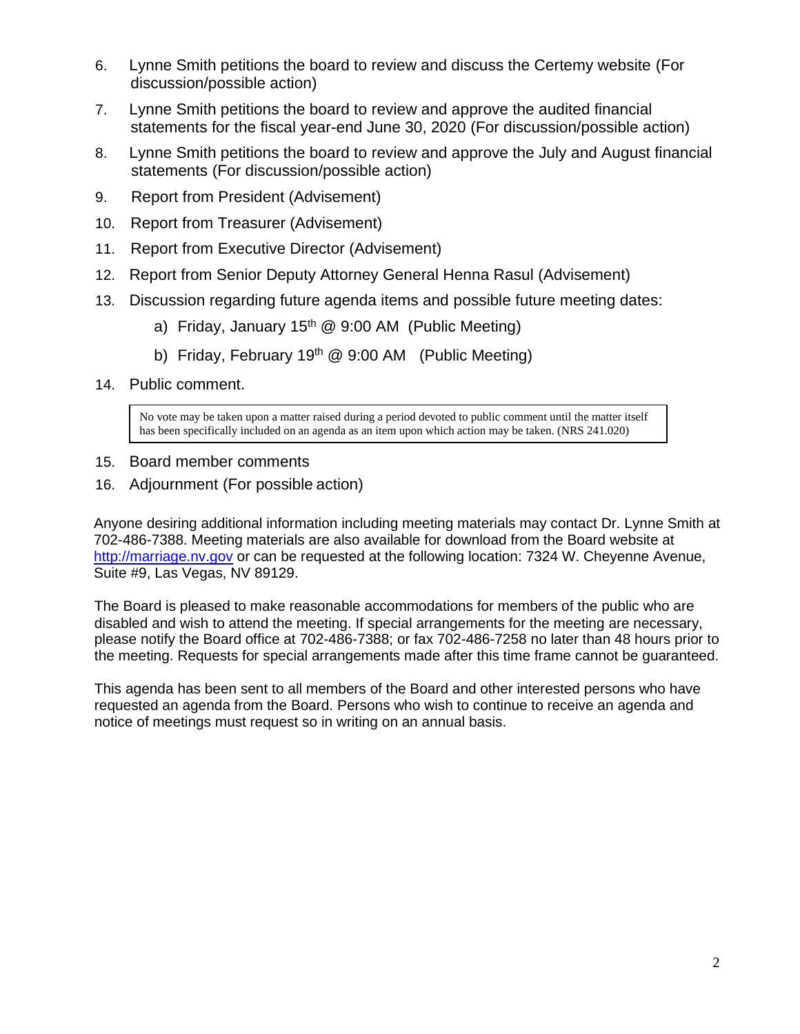- 6. Lynne Smith petitions the board to review and discuss the Certemy website (For discussion/possible action)
- 7. Lynne Smith petitions the board to review and approve the audited financial statements for the fiscal year-end June 30, 2020 (For discussion/possible action)
- 8. Lynne Smith petitions the board to review and approve the July and August financial statements (For discussion/possible action)
- 9. Report from President (Advisement)
- 10. Report from Treasurer (Advisement)
- 11. Report from Executive Director (Advisement)
- 12. Report from Senior Deputy Attorney General Henna Rasul (Advisement)
- 13. Discussion regarding future agenda items and possible future meeting dates:
	- a) Friday, January  $15<sup>th</sup>$  @ 9:00 AM (Public Meeting)
	- b) Friday, February 19<sup>th</sup> @ 9:00 AM (Public Meeting)
- 14. Public comment.

No vote may be taken upon a matter raised during a period devoted to public comment until the matter itself has been specifically included on an agenda as an item upon which action may be taken. (NRS 241.020)

- 15. Board member comments
- 16. Adjournment (For possible action)

Anyone desiring additional information including meeting materials may contact Dr. Lynne Smith at 702-486-7388. Meeting materials are also available for download from the Board website at [http://marriage.nv.gov](http://marriage.nv.gov/) or can be requested at the following location: 7324 W. Cheyenne Avenue, Suite #9, Las Vegas, NV 89129.

The Board is pleased to make reasonable accommodations for members of the public who are disabled and wish to attend the meeting. If special arrangements for the meeting are necessary, please notify the Board office at 702-486-7388; or fax 702-486-7258 no later than 48 hours prior to the meeting. Requests for special arrangements made after this time frame cannot be guaranteed.

This agenda has been sent to all members of the Board and other interested persons who have requested an agenda from the Board. Persons who wish to continue to receive an agenda and notice of meetings must request so in writing on an annual basis.